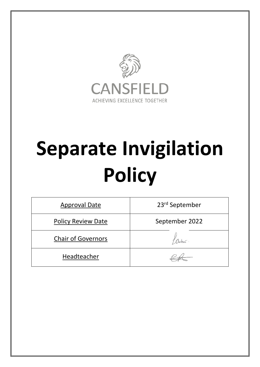

# **Separate Invigilation Policy**

| <b>Approval Date</b>      | 23 <sup>rd</sup> September |
|---------------------------|----------------------------|
| <b>Policy Review Date</b> | September 2022             |
| <b>Chair of Governors</b> |                            |
| Headteacher               |                            |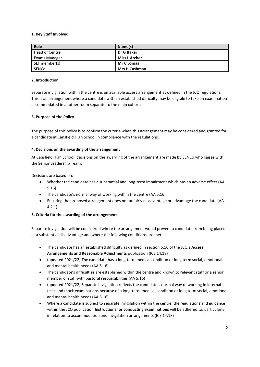### **1. Key Staff Involved**

| Role           | Name(s)              |
|----------------|----------------------|
| Head of Centre | Dr G Baker           |
| Exams Manager  | <b>Miss L Archer</b> |
| SLT member(s)  | <b>Mr C Lomas</b>    |
| SENCo          | <b>Mrs H Cashman</b> |

### **2. Introduction**

Separate invigilation within the centre is an available access arrangement as defined in the JCQ regulations. This is an arrangement where a candidate with an established difficulty may be eligible to take an examination accommodated in another room separate to the main cohort.

## **3. Purpose of the Policy**

The purpose of this policy is to confirm the criteria when this arrangement may be considered and granted for a candidate at Cansfield High School in compliance with the regulations.

### **4. Decisions on the awarding of the arrangement**

At Cansfield High School, decisions on the awarding of the arrangement are made by SENCo who liaises with the Senior Leadership Team.

Decisions are based on:

- Whether the candidate has a substantial and long-term impairment which has an adverse effect (AA 5.16)
- The candidate's normal way of working within the centre (AA 5.16)
- Ensuring the proposed arrangement does not unfairly disadvantage or advantage the candidate (AA 4.2.1)

# **5. Criteria for the awarding of the arrangement**

Separate invigilation will be considered where the arrangement would prevent a candidate from being placed at a substantial disadvantage and where the following conditions are met:

- The candidate has an established difficulty as defined in section 5.16 of the JCQ's **Access Arrangements and Reasonable Adjustments** publication (ICE 14.18)
- (updated 2021/22) The candidate has a long-term medical condition or long term social, emotional and mental health needs (AA 5.16)
- The candidate's difficulties are established within the centre and known to relevant staff or a senior member of staff with pastoral responsibilities (AA 5.16)
- (updated 2021/22) Separate invigilation reflects the candidate's normal way of working in internal tests and mock examinations because of a long-term medical condition or long term social, emotional and mental health needs (AA 5.16)
- Where a candidate is subject to separate invigilation within the centre, the regulations and guidance within the JCQ publication **Instructions for conducting examinations** will be adhered to, particularly in relation to accommodation and invigilation arrangements (ICE 14.18)